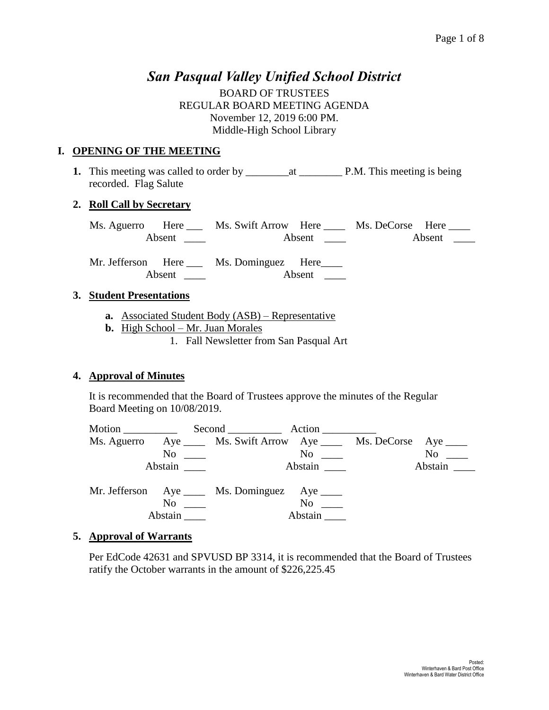# *San Pasqual Valley Unified School District*

BOARD OF TRUSTEES REGULAR BOARD MEETING AGENDA November 12, 2019 6:00 PM. Middle-High School Library

### **I. OPENING OF THE MEETING**

**1.** This meeting was called to order by \_\_\_\_\_\_\_\_at \_\_\_\_\_\_\_\_ P.M. This meeting is being recorded. Flag Salute

### **2. Roll Call by Secretary**

|  | Ms. Aguerro Here Ms. Swift Arrow Here Ms. DeCorse Here                                                                                                                                                                         |        |                        |  |
|--|--------------------------------------------------------------------------------------------------------------------------------------------------------------------------------------------------------------------------------|--------|------------------------|--|
|  | Absent here are not a set of the set of the set of the set of the set of the set of the set of the set of the set of the set of the set of the set of the set of the set of the set of the set of the set of the set of the se |        | Absent $\qquad \qquad$ |  |
|  | Mr. Jefferson Here Ms. Dominguez Here                                                                                                                                                                                          | Absent |                        |  |

### **3. Student Presentations**

- **a.** Associated Student Body (ASB) Representative
- **b.** High School Mr. Juan Morales
	- 1. Fall Newsletter from San Pasqual Art

# **4. Approval of Minutes**

It is recommended that the Board of Trustees approve the minutes of the Regular Board Meeting on 10/08/2019.

|                                                      | Second Action                                                        |                                                                                                                                                                                                                                |                  |
|------------------------------------------------------|----------------------------------------------------------------------|--------------------------------------------------------------------------------------------------------------------------------------------------------------------------------------------------------------------------------|------------------|
|                                                      | Ms. Aguerro Aye _____ Ms. Swift Arrow Aye _____ Ms. DeCorse Aye ____ |                                                                                                                                                                                                                                |                  |
|                                                      | $\overline{N}$ $\overline{N}$                                        | $No \ \_$                                                                                                                                                                                                                      | $No \ \_$        |
| Abstain                                              |                                                                      | Abstain here are the set of the set of the set of the set of the set of the set of the set of the set of the set of the set of the set of the set of the set of the set of the set of the set of the set of the set of the set | Abstain $\qquad$ |
| $\overline{N}$ o $\overline{\phantom{0}}$<br>Abstain | Mr. Jefferson Aye ____ Ms. Dominguez Aye ____                        | $No \_\_$<br>Abstain                                                                                                                                                                                                           |                  |

# **5. Approval of Warrants**

Per EdCode 42631 and SPVUSD BP 3314, it is recommended that the Board of Trustees ratify the October warrants in the amount of \$226,225.45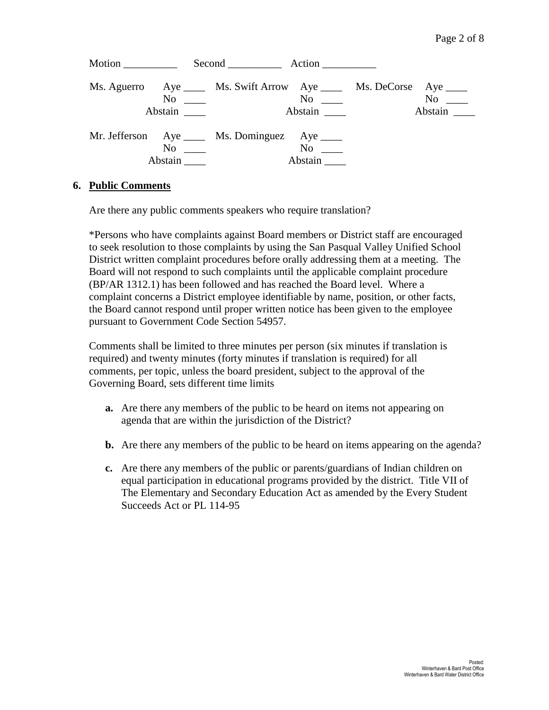| Abstain              | Ms. Aguerro Aye _____ Ms. Swift Arrow Aye _____ Ms. DeCorse Aye ____<br>$\overline{N}$ $\overline{N}$ | $No \ \_$<br>Abstain | $No \ \_$<br>Abstain _______ |
|----------------------|-------------------------------------------------------------------------------------------------------|----------------------|------------------------------|
| $No \ \_$<br>Abstain | Mr. Jefferson Aye _____ Ms. Dominguez Aye _____                                                       | $No \ \_$<br>Abstain |                              |

#### **6. Public Comments**

Are there any public comments speakers who require translation?

\*Persons who have complaints against Board members or District staff are encouraged to seek resolution to those complaints by using the San Pasqual Valley Unified School District written complaint procedures before orally addressing them at a meeting. The Board will not respond to such complaints until the applicable complaint procedure (BP/AR 1312.1) has been followed and has reached the Board level. Where a complaint concerns a District employee identifiable by name, position, or other facts, the Board cannot respond until proper written notice has been given to the employee pursuant to Government Code Section 54957.

Comments shall be limited to three minutes per person (six minutes if translation is required) and twenty minutes (forty minutes if translation is required) for all comments, per topic, unless the board president, subject to the approval of the Governing Board, sets different time limits

- **a.** Are there any members of the public to be heard on items not appearing on agenda that are within the jurisdiction of the District?
- **b.** Are there any members of the public to be heard on items appearing on the agenda?
- **c.** Are there any members of the public or parents/guardians of Indian children on equal participation in educational programs provided by the district. Title VII of The Elementary and Secondary Education Act as amended by the Every Student Succeeds Act or PL 114-95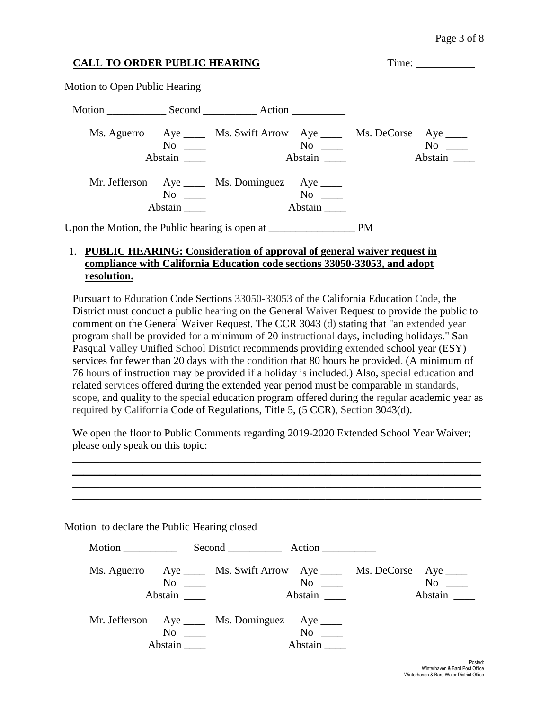| <b>CALL TO ORDER PUBLIC HEARING</b>            | Time:                |                                                                      |                                 |           |                      |
|------------------------------------------------|----------------------|----------------------------------------------------------------------|---------------------------------|-----------|----------------------|
| Motion to Open Public Hearing                  |                      |                                                                      |                                 |           |                      |
|                                                |                      |                                                                      |                                 |           |                      |
|                                                | $No \t —$<br>Abstain | Ms. Aguerro Aye _____ Ms. Swift Arrow Aye _____ Ms. DeCorse Aye ____ | $\mathrm{No}$ $\_\_$<br>Abstain |           | $No \ \_$<br>Abstain |
|                                                | No<br>Abstain        | Mr. Jefferson Aye _____ Ms. Dominguez Aye _____                      | $No \t —$<br>Abstain            |           |                      |
| Upon the Motion, the Public hearing is open at |                      |                                                                      |                                 | <b>PM</b> |                      |

#### 1. **PUBLIC HEARING: Consideration of approval of general waiver request in compliance with California Education code sections 33050-33053, and adopt resolution.**

Pursuant to Education Code Sections 33050-33053 of the California Education Code, the District must conduct a public hearing on the General Waiver Request to provide the public to comment on the General Waiver Request. The CCR 3043 (d) stating that "an extended year program shall be provided for a minimum of 20 instructional days, including holidays." San Pasqual Valley Unified School District recommends providing extended school year (ESY) services for fewer than 20 days with the condition that 80 hours be provided. (A minimum of 76 hours of instruction may be provided if a holiday is included.) Also, special education and related services offered during the extended year period must be comparable in standards, scope, and quality to the special education program offered during the regular academic year as required by California Code of Regulations, Title 5, (5 CCR), Section 3043(d).

We open the floor to Public Comments regarding 2019-2020 Extended School Year Waiver; please only speak on this topic:

\_\_\_\_\_\_\_\_\_\_\_\_\_\_\_\_\_\_\_\_\_\_\_\_\_\_\_\_\_\_\_\_\_\_\_\_\_\_\_\_\_\_\_\_\_\_\_\_\_\_\_\_\_\_\_\_\_\_\_\_\_\_\_\_\_\_\_\_\_\_\_\_\_\_\_\_ \_\_\_\_\_\_\_\_\_\_\_\_\_\_\_\_\_\_\_\_\_\_\_\_\_\_\_\_\_\_\_\_\_\_\_\_\_\_\_\_\_\_\_\_\_\_\_\_\_\_\_\_\_\_\_\_\_\_\_\_\_\_\_\_\_\_\_\_\_\_\_\_\_\_\_\_ \_\_\_\_\_\_\_\_\_\_\_\_\_\_\_\_\_\_\_\_\_\_\_\_\_\_\_\_\_\_\_\_\_\_\_\_\_\_\_\_\_\_\_\_\_\_\_\_\_\_\_\_\_\_\_\_\_\_\_\_\_\_\_\_\_\_\_\_\_\_\_\_\_\_\_\_ \_\_\_\_\_\_\_\_\_\_\_\_\_\_\_\_\_\_\_\_\_\_\_\_\_\_\_\_\_\_\_\_\_\_\_\_\_\_\_\_\_\_\_\_\_\_\_\_\_\_\_\_\_\_\_\_\_\_\_\_\_\_\_\_\_\_\_\_\_\_\_\_\_\_\_\_

| Motion to declare the Public Hearing closed                                |                     |                                                                         |                                     |                      |
|----------------------------------------------------------------------------|---------------------|-------------------------------------------------------------------------|-------------------------------------|----------------------|
| Motion $\frac{1}{\sqrt{1-\frac{1}{2}}\cdot\frac{1}{\sqrt{1-\frac{1}{2}}}}$ |                     | Second Action                                                           |                                     |                      |
|                                                                            | $\rm No$<br>Abstain | Ms. Aguerro Aye ______ Ms. Swift Arrow Aye ______ Ms. DeCorse Aye _____ | $\rm No$<br>Abstain                 | $No \ \_$<br>Abstain |
|                                                                            | No<br>Abstain       | Mr. Jefferson Aye _____ Ms. Dominguez                                   | Aye $\_\_\_\_\$<br>No no<br>Abstain |                      |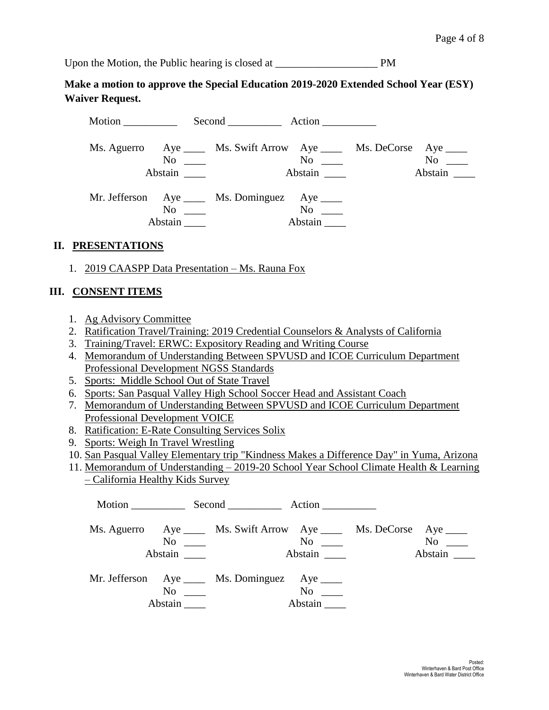Upon the Motion, the Public hearing is closed at PM

**Make a motion to approve the Special Education 2019-2020 Extended School Year (ESY) Waiver Request.** 

| Motion |                                                                                                                                     | Second Action                                 |               |
|--------|-------------------------------------------------------------------------------------------------------------------------------------|-----------------------------------------------|---------------|
|        | Ms. Aguerro Aye _____ Ms. Swift Arrow Aye _____ Ms. DeCorse Aye _____<br>$\overline{\text{No}}$ $\overline{\phantom{0}}$<br>Abstain | $No \ \_$<br>Abstain $\overline{\phantom{a}}$ | No<br>Abstain |
|        | Mr. Jefferson Aye _____ Ms. Dominguez Aye _____<br>No<br>Abstain                                                                    | No<br>Abstain                                 |               |

#### **II. PRESENTATIONS**

1. 2019 CAASPP Data Presentation – Ms. Rauna Fox

#### **III. CONSENT ITEMS**

- 1. Ag Advisory Committee
- 2. Ratification Travel/Training: 2019 Credential Counselors & Analysts of California
- 3. Training/Travel: ERWC: Expository Reading and Writing Course
- 4. Memorandum of Understanding Between SPVUSD and ICOE Curriculum Department Professional Development NGSS Standards
- 5. Sports: Middle School Out of State Travel
- 6. Sports: San Pasqual Valley High School Soccer Head and Assistant Coach
- 7. Memorandum of Understanding Between SPVUSD and ICOE Curriculum Department Professional Development VOICE
- 8. Ratification: E-Rate Consulting Services Solix
- 9. Sports: Weigh In Travel Wrestling
- 10. San Pasqual Valley Elementary trip "Kindness Makes a Difference Day" in Yuma, Arizona
- 11. Memorandum of Understanding 2019-20 School Year School Climate Health & Learning – California Healthy Kids Survey

| Abstain | Ms. Aguerro Aye ______ Ms. Swift Arrow Aye ______ Ms. DeCorse Aye _____<br>$\overline{N}$ $\overline{\phantom{a}}$ | $\mathrm{No}$ $\_\_$<br>Abstain | $No \ \_$<br>Abstain |
|---------|--------------------------------------------------------------------------------------------------------------------|---------------------------------|----------------------|
| No      | Mr. Jefferson Aye _____ Ms. Dominguez Aye _____                                                                    | $No \ \_$<br>Abstain            |                      |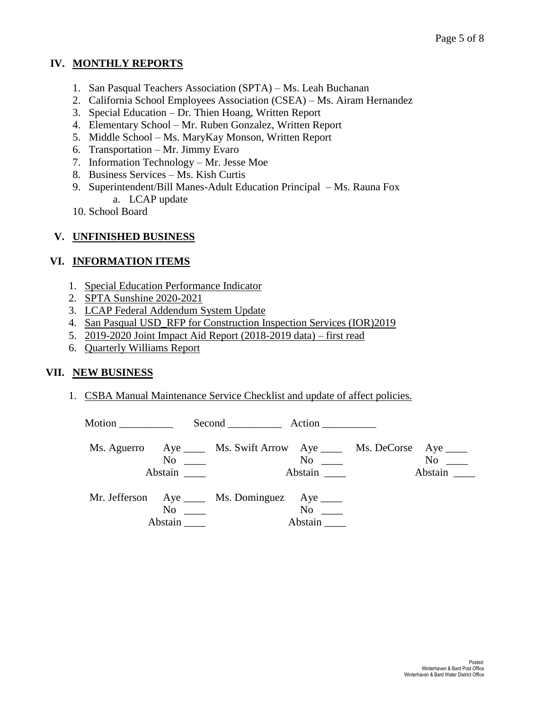# **IV. MONTHLY REPORTS**

- 1. San Pasqual Teachers Association (SPTA) Ms. Leah Buchanan
- 2. California School Employees Association (CSEA) Ms. Airam Hernandez
- 3. Special Education Dr. Thien Hoang, Written Report
- 4. Elementary School Mr. Ruben Gonzalez, Written Report
- 5. Middle School Ms. MaryKay Monson, Written Report
- 6. Transportation Mr. Jimmy Evaro
- 7. Information Technology Mr. Jesse Moe
- 8. Business Services Ms. Kish Curtis
- 9. Superintendent/Bill Manes-Adult Education Principal Ms. Rauna Fox a. LCAP update
- 10. School Board

### **V. UNFINISHED BUSINESS**

# **VI. INFORMATION ITEMS**

- 1. Special Education Performance Indicator
- 2. SPTA Sunshine 2020-2021
- 3. LCAP Federal Addendum System Update
- 4. San Pasqual USD\_RFP for Construction Inspection Services (IOR)2019
- 5. 2019-2020 Joint Impact Aid Report (2018-2019 data) first read
- 6. Quarterly Williams Report

# **VII. NEW BUSINESS**

1. CSBA Manual Maintenance Service Checklist and update of affect policies.

| Motion $\frac{\ }{\ }$ |                     | Second Action                                                                         |                                                                                                                                                                                                                                          |                  |
|------------------------|---------------------|---------------------------------------------------------------------------------------|------------------------------------------------------------------------------------------------------------------------------------------------------------------------------------------------------------------------------------------|------------------|
|                        | Abstain             | Ms. Aguerro Aye _____ Ms. Swift Arrow Aye _____ Ms. DeCorse Aye _____<br>$No$ No $No$ | Abstain                                                                                                                                                                                                                                  | No no<br>Abstain |
|                        | $\rm No$<br>Abstain | Mr. Jefferson Aye _____ Ms. Dominguez Aye _____                                       | No note that the set of the set of the set of the set of the set of the set of the set of the set of the set of the set of the set of the set of the set of the set of the set of the set of the set of the set of the set of<br>Abstain |                  |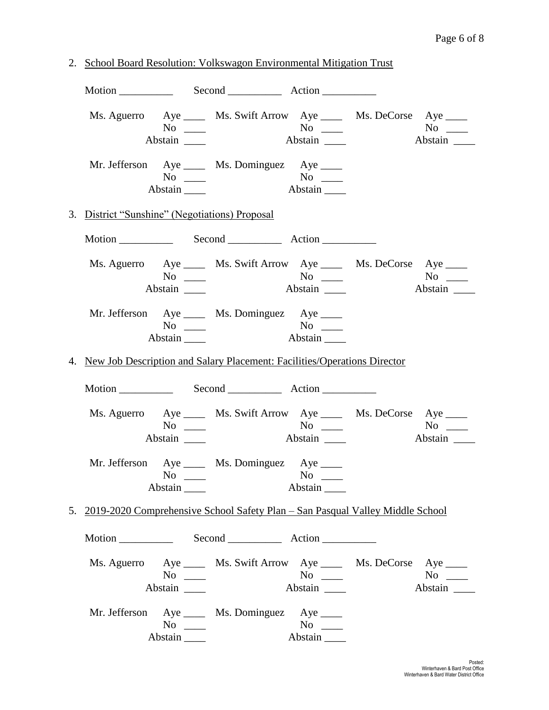|               | $No \ \_$<br>Abstain _______                   | Ms. Aguerro Aye ______ Ms. Swift Arrow Aye ______ Ms. DeCorse Aye _____          |                      | $\overline{\text{No}}$ $\overline{\phantom{0}}$<br>Abstain |
|---------------|------------------------------------------------|----------------------------------------------------------------------------------|----------------------|------------------------------------------------------------|
|               | $No \ \_$<br>Abstain                           | Mr. Jefferson Aye _____ Ms. Dominguez Aye _____                                  | No<br>Abstain        |                                                            |
|               | 3. District "Sunshine" (Negotiations) Proposal |                                                                                  |                      |                                                            |
|               |                                                |                                                                                  |                      |                                                            |
|               | $No \ \_$<br>Abstain _______                   | Ms. Aguerro Aye _____ Ms. Swift Arrow Aye _____ Ms. DeCorse Aye ____             | $No \ \_$<br>Abstain | No<br>Abstain                                              |
|               | $No \ \_$<br>Abstain                           | Mr. Jefferson Aye _____ Ms. Dominguez Aye _____                                  | Abstain              |                                                            |
|               |                                                | 4. New Job Description and Salary Placement: Facilities/Operations Director      |                      |                                                            |
|               |                                                |                                                                                  |                      |                                                            |
|               | $No \_$<br>Abstain                             | Ms. Aguerro Aye ______ Ms. Swift Arrow Aye ______ Ms. DeCorse Aye _____          | $No \_\_$<br>Abstain | $No \_$<br>Abstain                                         |
| Mr. Jefferson | $No \ \_$<br>Abstain $\_\_\_\$                 | Aye _______ Ms. Dominguez Aye ______                                             | $No \ \_$<br>Abstain |                                                            |
|               |                                                | 5. 2019-2020 Comprehensive School Safety Plan – San Pasqual Valley Middle School |                      |                                                            |
|               |                                                |                                                                                  |                      |                                                            |
|               | $No \t —$                                      | Ms. Aguerro Aye _____ Ms. Swift Arrow Aye _____ Ms. DeCorse Aye _____            | $No \_$<br>Abstain   | $No \_$<br>Abstain                                         |
|               |                                                |                                                                                  |                      |                                                            |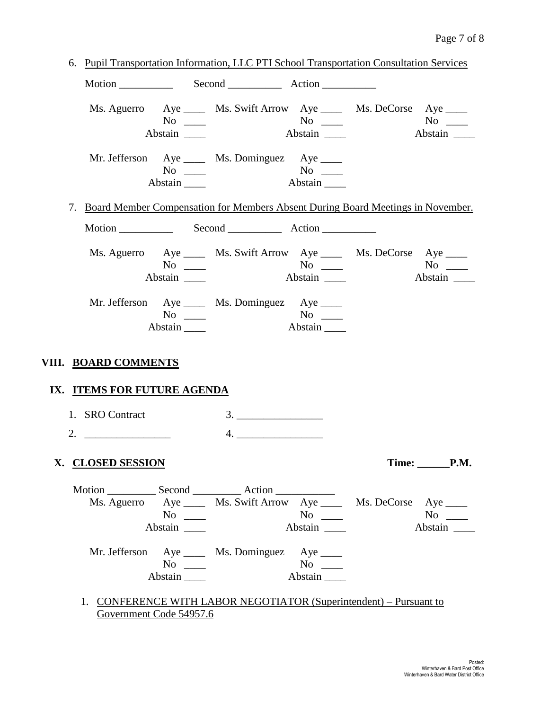| Ms. Aguerro Aye _____ Ms. Swift Arrow Aye _____ Ms. DeCorse Aye ____               | $No \ \_$<br>Abstain |    | Abstain                                 |  | Abstain              |
|------------------------------------------------------------------------------------|----------------------|----|-----------------------------------------|--|----------------------|
| Mr. Jefferson Aye _____ Ms. Dominguez Aye _____                                    | $No \ \_$<br>Abstain |    |                                         |  |                      |
| 7. Board Member Compensation for Members Absent During Board Meetings in November. |                      |    |                                         |  |                      |
| Motion                                                                             |                      |    |                                         |  |                      |
| Ms. Aguerro Aye _____ Ms. Swift Arrow Aye _____ Ms. DeCorse Aye ____               | $No \ \_$<br>Abstain |    | Abstain                                 |  | Abstain              |
|                                                                                    |                      |    |                                         |  |                      |
| Mr. Jefferson Aye _____ Ms. Dominguez Aye ____                                     | $No \ \_$<br>Abstain |    | $\frac{N_O}{\text{Abstain}}$<br>Abstain |  |                      |
| VIII. BOARD COMMENTS<br>IX. ITEMS FOR FUTURE AGENDA<br>1. SRO Contract             |                      | 3. |                                         |  |                      |
| 2. $\qquad \qquad$                                                                 |                      |    |                                         |  |                      |
| X. CLOSED SESSION                                                                  |                      |    |                                         |  | $Time:$ $P.M.$       |
| Ms. Aguerro Aye ______ Ms. Swift Arrow Aye ______ Ms. DeCorse Aye _____            | $No \ \_$<br>Abstain |    | $No \ \_$<br>Abstain                    |  | $No \ \_$<br>Abstain |

1. CONFERENCE WITH LABOR NEGOTIATOR (Superintendent) – Pursuant to Government Code 54957.6